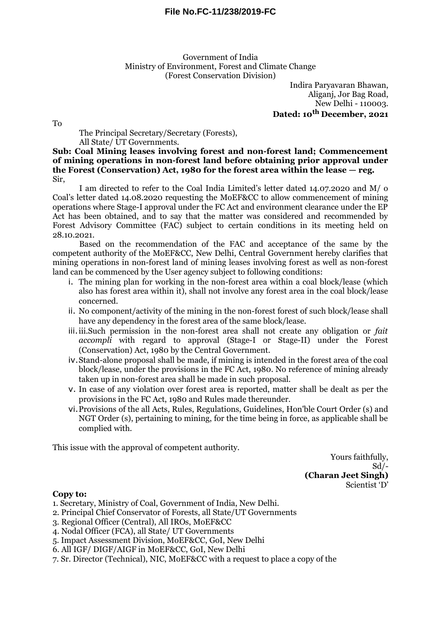Government of India Ministry of Environment, Forest and Climate Change (Forest Conservation Division)

> Indira Paryavaran Bhawan, Aliganj, Jor Bag Road, New Delhi - 110003. **Dated: 10th December, 2021**

To

## The Principal Secretary/Secretary (Forests), All State/ UT Governments.

**Sub: Coal Mining leases involving forest and non-forest land; Commencement of mining operations in non-forest land before obtaining prior approval under the Forest (Conservation) Act, 1980 for the forest area within the lease — reg.** Sir,

I am directed to refer to the Coal India Limited's letter dated 14.07.2020 and M/ o Coal's letter dated 14.08.2020 requesting the MoEF&CC to allow commencement of mining operations where Stage-I approval under the FC Act and environment clearance under the EP Act has been obtained, and to say that the matter was considered and recommended by Forest Advisory Committee (FAC) subject to certain conditions in its meeting held on 28.10.2021.

Based on the recommendation of the FAC and acceptance of the same by the competent authority of the MoEF&CC, New Delhi, Central Government hereby clarifies that mining operations in non-forest land of mining leases involving forest as well as non-forest land can be commenced by the User agency subject to following conditions:

- i. The mining plan for working in the non-forest area within a coal block/lease (which also has forest area within it), shall not involve any forest area in the coal block/lease concerned.
- ii. No component/activity of the mining in the non-forest forest of such block/lease shall have any dependency in the forest area of the same block/lease.
- iii.iii.Such permission in the non-forest area shall not create any obligation or *fait accompli* with regard to approval (Stage-I or Stage-II) under the Forest (Conservation) Act, 1980 by the Central Government.
- iv.Stand-alone proposal shall be made, if mining is intended in the forest area of the coal block/lease, under the provisions in the FC Act, 1980. No reference of mining already taken up in non-forest area shall be made in such proposal.
- v. In case of any violation over forest area is reported, matter shall be dealt as per the provisions in the FC Act, 1980 and Rules made thereunder.
- vi.Provisions of the all Acts, Rules, Regulations, Guidelines, Hon'ble Court Order (s) and NGT Order (s), pertaining to mining, for the time being in force, as applicable shall be complied with.

This issue with the approval of competent authority.

Yours faithfully, Sd/- **(Charan Jeet Singh)** Scientist 'D'

## **Copy to:**

1. Secretary, Ministry of Coal, Government of India, New Delhi.

- 2. Principal Chief Conservator of Forests, all State/UT Governments
- 3. Regional Officer (Central), All IROs, MoEF&CC
- 4. Nodal Officer (FCA), all State/ UT Governments
- 5. Impact Assessment Division, MoEF&CC, GoI, New Delhi
- 6. All IGF/ DIGF/AIGF in MoEF&CC, GoI, New Delhi
- 7. Sr. Director (Technical), NIC, MoEF&CC with a request to place a copy of the